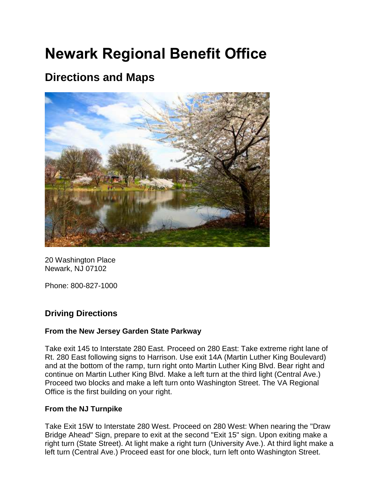# **Newark Regional Benefit Office**

## **Directions and Maps**



20 Washington Place Newark, NJ 07102

Phone: 800-827-1000

### **Driving Directions**

#### **From the New Jersey Garden State Parkway**

Take exit 145 to Interstate 280 East. Proceed on 280 East: Take extreme right lane of Rt. 280 East following signs to Harrison. Use exit 14A (Martin Luther King Boulevard) and at the bottom of the ramp, turn right onto Martin Luther King Blvd. Bear right and continue on Martin Luther King Blvd. Make a left turn at the third light (Central Ave.) Proceed two blocks and make a left turn onto Washington Street. The VA Regional Office is the first building on your right.

#### **From the NJ Turnpike**

Take Exit 15W to Interstate 280 West. Proceed on 280 West: When nearing the "Draw Bridge Ahead" Sign, prepare to exit at the second "Exit 15" sign. Upon exiting make a right turn (State Street). At light make a right turn (University Ave.). At third light make a left turn (Central Ave.) Proceed east for one block, turn left onto Washington Street.